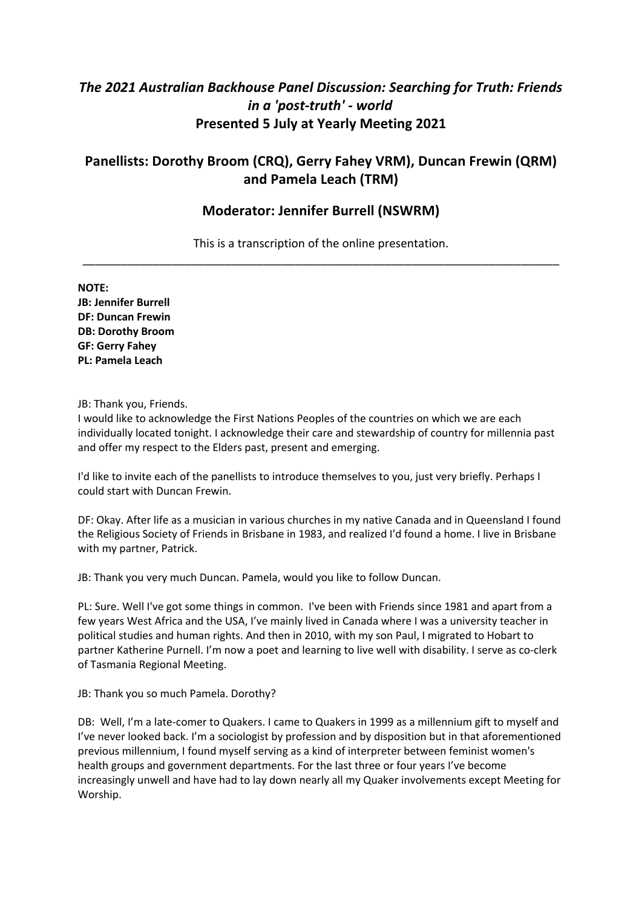# *The 2021 Australian Backhouse Panel Discussion: Searching for Truth: Friends in a 'post-truth' - world*  **Presented 5 July at Yearly Meeting 2021**

## **Panellists: Dorothy Broom (CRQ), Gerry Fahey VRM), Duncan Frewin (QRM) and Pamela Leach (TRM)**

### **Moderator: Jennifer Burrell (NSWRM)**

This is a transcription of the online presentation. \_\_\_\_\_\_\_\_\_\_\_\_\_\_\_\_\_\_\_\_\_\_\_\_\_\_\_\_\_\_\_\_\_\_\_\_\_\_\_\_\_\_\_\_\_\_\_\_\_\_\_\_\_\_\_\_\_\_\_\_\_\_\_\_\_\_\_\_\_\_\_\_\_\_

**NOTE: JB: Jennifer Burrell DF: Duncan Frewin DB: Dorothy Broom GF: Gerry Fahey PL: Pamela Leach**

#### JB: Thank you, Friends.

I would like to acknowledge the First Nations Peoples of the countries on which we are each individually located tonight. I acknowledge their care and stewardship of country for millennia past and offer my respect to the Elders past, present and emerging.

I'd like to invite each of the panellists to introduce themselves to you, just very briefly. Perhaps I could start with Duncan Frewin.

DF: Okay. After life as a musician in various churches in my native Canada and in Queensland I found the Religious Society of Friends in Brisbane in 1983, and realized I'd found a home. I live in Brisbane with my partner, Patrick.

JB: Thank you very much Duncan. Pamela, would you like to follow Duncan.

PL: Sure. Well I've got some things in common. I've been with Friends since 1981 and apart from a few years West Africa and the USA, I've mainly lived in Canada where I was a university teacher in political studies and human rights. And then in 2010, with my son Paul, I migrated to Hobart to partner Katherine Purnell. I'm now a poet and learning to live well with disability. I serve as co-clerk of Tasmania Regional Meeting.

JB: Thank you so much Pamela. Dorothy?

DB: Well, I'm a late-comer to Quakers. I came to Quakers in 1999 as a millennium gift to myself and I've never looked back. I'm a sociologist by profession and by disposition but in that aforementioned previous millennium, I found myself serving as a kind of interpreter between feminist women's health groups and government departments. For the last three or four years I've become increasingly unwell and have had to lay down nearly all my Quaker involvements except Meeting for Worship.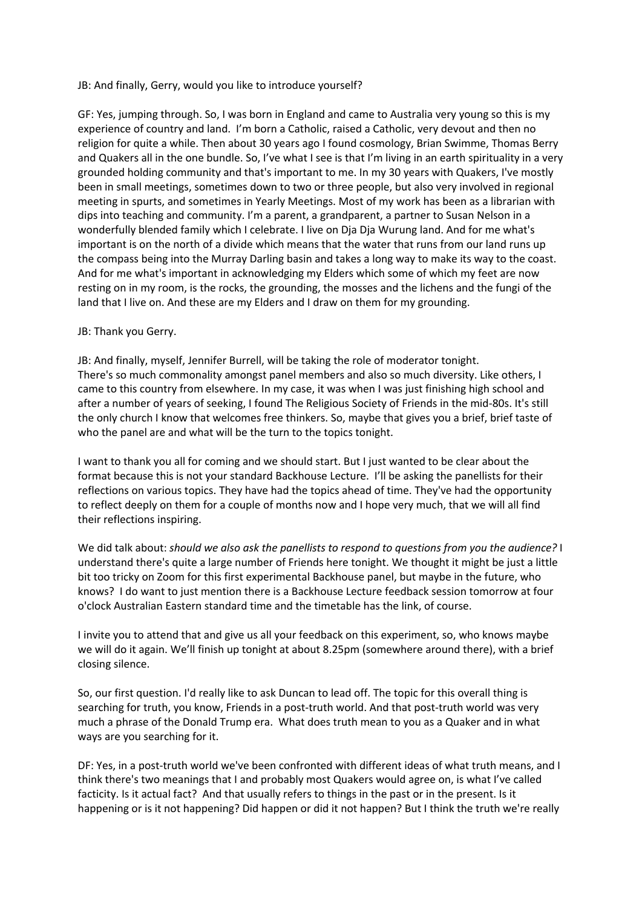JB: And finally, Gerry, would you like to introduce yourself?

GF: Yes, jumping through. So, I was born in England and came to Australia very young so this is my experience of country and land. I'm born a Catholic, raised a Catholic, very devout and then no religion for quite a while. Then about 30 years ago I found cosmology, Brian Swimme, Thomas Berry and Quakers all in the one bundle. So, I've what I see is that I'm living in an earth spirituality in a very grounded holding community and that's important to me. In my 30 years with Quakers, I've mostly been in small meetings, sometimes down to two or three people, but also very involved in regional meeting in spurts, and sometimes in Yearly Meetings. Most of my work has been as a librarian with dips into teaching and community. I'm a parent, a grandparent, a partner to Susan Nelson in a wonderfully blended family which I celebrate. I live on Dja Dja Wurung land. And for me what's important is on the north of a divide which means that the water that runs from our land runs up the compass being into the Murray Darling basin and takes a long way to make its way to the coast. And for me what's important in acknowledging my Elders which some of which my feet are now resting on in my room, is the rocks, the grounding, the mosses and the lichens and the fungi of the land that I live on. And these are my Elders and I draw on them for my grounding.

#### JB: Thank you Gerry.

JB: And finally, myself, Jennifer Burrell, will be taking the role of moderator tonight. There's so much commonality amongst panel members and also so much diversity. Like others, I came to this country from elsewhere. In my case, it was when I was just finishing high school and after a number of years of seeking, I found The Religious Society of Friends in the mid-80s. It's still the only church I know that welcomes free thinkers. So, maybe that gives you a brief, brief taste of who the panel are and what will be the turn to the topics tonight.

I want to thank you all for coming and we should start. But I just wanted to be clear about the format because this is not your standard Backhouse Lecture. I'll be asking the panellists for their reflections on various topics. They have had the topics ahead of time. They've had the opportunity to reflect deeply on them for a couple of months now and I hope very much, that we will all find their reflections inspiring.

We did talk about: *should we also ask the panellists to respond to questions from you the audience?* I understand there's quite a large number of Friends here tonight. We thought it might be just a little bit too tricky on Zoom for this first experimental Backhouse panel, but maybe in the future, who knows? I do want to just mention there is a Backhouse Lecture feedback session tomorrow at four o'clock Australian Eastern standard time and the timetable has the link, of course.

I invite you to attend that and give us all your feedback on this experiment, so, who knows maybe we will do it again. We'll finish up tonight at about 8.25pm (somewhere around there), with a brief closing silence.

So, our first question. I'd really like to ask Duncan to lead off. The topic for this overall thing is searching for truth, you know, Friends in a post-truth world. And that post-truth world was very much a phrase of the Donald Trump era. What does truth mean to you as a Quaker and in what ways are you searching for it.

DF: Yes, in a post-truth world we've been confronted with different ideas of what truth means, and I think there's two meanings that I and probably most Quakers would agree on, is what I've called facticity. Is it actual fact? And that usually refers to things in the past or in the present. Is it happening or is it not happening? Did happen or did it not happen? But I think the truth we're really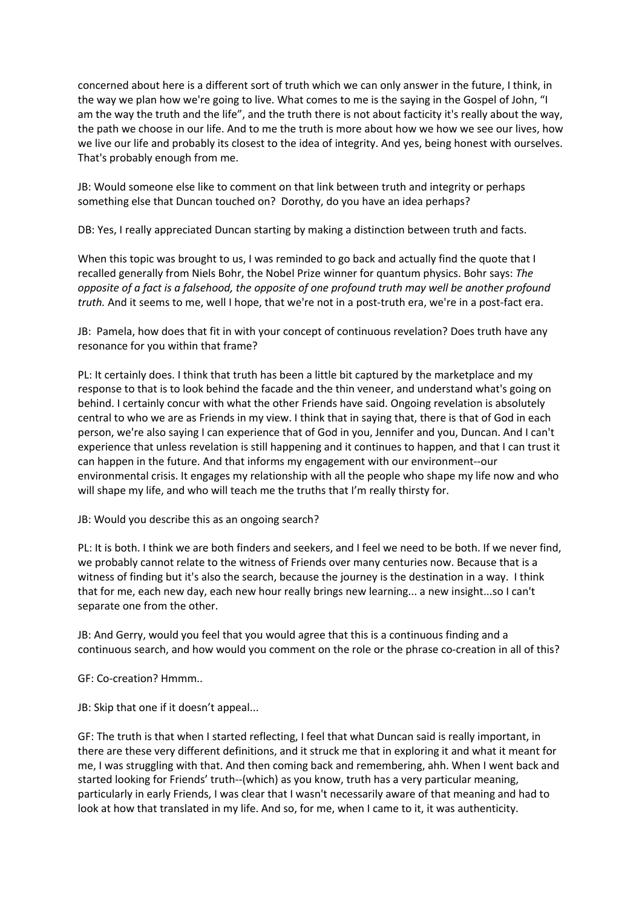concerned about here is a different sort of truth which we can only answer in the future, I think, in the way we plan how we're going to live. What comes to me is the saying in the Gospel of John, "I am the way the truth and the life", and the truth there is not about facticity it's really about the way, the path we choose in our life. And to me the truth is more about how we how we see our lives, how we live our life and probably its closest to the idea of integrity. And yes, being honest with ourselves. That's probably enough from me.

JB: Would someone else like to comment on that link between truth and integrity or perhaps something else that Duncan touched on? Dorothy, do you have an idea perhaps?

DB: Yes, I really appreciated Duncan starting by making a distinction between truth and facts.

When this topic was brought to us, I was reminded to go back and actually find the quote that I recalled generally from Niels Bohr, the Nobel Prize winner for quantum physics. Bohr says: *The opposite of a fact is a falsehood, the opposite of one profound truth may well be another profound truth.* And it seems to me, well I hope, that we're not in a post-truth era, we're in a post-fact era.

JB: Pamela, how does that fit in with your concept of continuous revelation? Does truth have any resonance for you within that frame?

PL: It certainly does. I think that truth has been a little bit captured by the marketplace and my response to that is to look behind the facade and the thin veneer, and understand what's going on behind. I certainly concur with what the other Friends have said. Ongoing revelation is absolutely central to who we are as Friends in my view. I think that in saying that, there is that of God in each person, we're also saying I can experience that of God in you, Jennifer and you, Duncan. And I can't experience that unless revelation is still happening and it continues to happen, and that I can trust it can happen in the future. And that informs my engagement with our environment--our environmental crisis. It engages my relationship with all the people who shape my life now and who will shape my life, and who will teach me the truths that I'm really thirsty for.

#### JB: Would you describe this as an ongoing search?

PL: It is both. I think we are both finders and seekers, and I feel we need to be both. If we never find, we probably cannot relate to the witness of Friends over many centuries now. Because that is a witness of finding but it's also the search, because the journey is the destination in a way. I think that for me, each new day, each new hour really brings new learning... a new insight...so I can't separate one from the other.

JB: And Gerry, would you feel that you would agree that this is a continuous finding and a continuous search, and how would you comment on the role or the phrase co-creation in all of this?

#### GF: Co-creation? Hmmm..

JB: Skip that one if it doesn't appeal...

GF: The truth is that when I started reflecting, I feel that what Duncan said is really important, in there are these very different definitions, and it struck me that in exploring it and what it meant for me, I was struggling with that. And then coming back and remembering, ahh. When I went back and started looking for Friends' truth--(which) as you know, truth has a very particular meaning, particularly in early Friends, I was clear that I wasn't necessarily aware of that meaning and had to look at how that translated in my life. And so, for me, when I came to it, it was authenticity.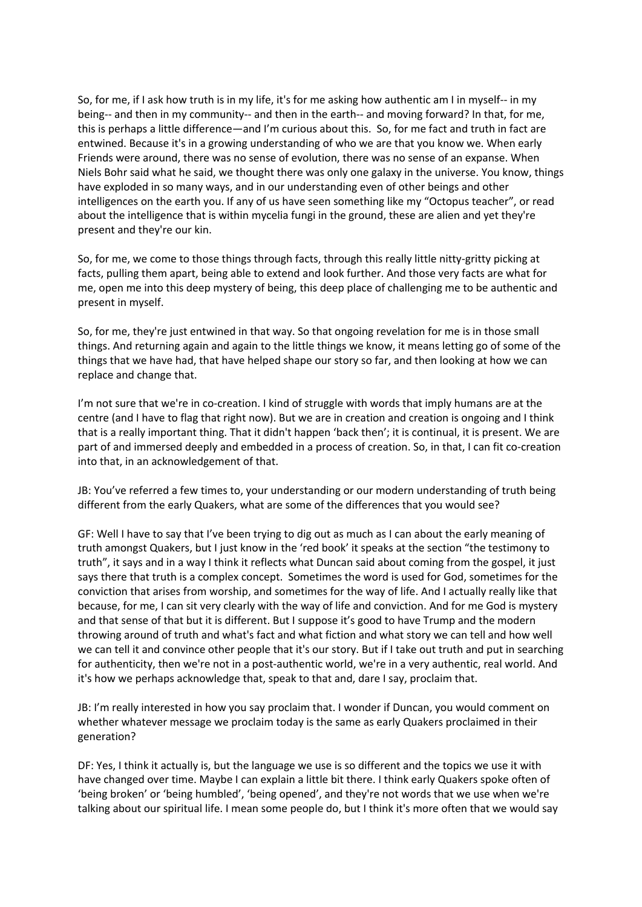So, for me, if I ask how truth is in my life, it's for me asking how authentic am I in myself-- in my being-- and then in my community-- and then in the earth-- and moving forward? In that, for me, this is perhaps a little difference—and I'm curious about this. So, for me fact and truth in fact are entwined. Because it's in a growing understanding of who we are that you know we. When early Friends were around, there was no sense of evolution, there was no sense of an expanse. When Niels Bohr said what he said, we thought there was only one galaxy in the universe. You know, things have exploded in so many ways, and in our understanding even of other beings and other intelligences on the earth you. If any of us have seen something like my "Octopus teacher", or read about the intelligence that is within mycelia fungi in the ground, these are alien and yet they're present and they're our kin.

So, for me, we come to those things through facts, through this really little nitty-gritty picking at facts, pulling them apart, being able to extend and look further. And those very facts are what for me, open me into this deep mystery of being, this deep place of challenging me to be authentic and present in myself.

So, for me, they're just entwined in that way. So that ongoing revelation for me is in those small things. And returning again and again to the little things we know, it means letting go of some of the things that we have had, that have helped shape our story so far, and then looking at how we can replace and change that.

I'm not sure that we're in co-creation. I kind of struggle with words that imply humans are at the centre (and I have to flag that right now). But we are in creation and creation is ongoing and I think that is a really important thing. That it didn't happen 'back then'; it is continual, it is present. We are part of and immersed deeply and embedded in a process of creation. So, in that, I can fit co-creation into that, in an acknowledgement of that.

JB: You've referred a few times to, your understanding or our modern understanding of truth being different from the early Quakers, what are some of the differences that you would see?

GF: Well I have to say that I've been trying to dig out as much as I can about the early meaning of truth amongst Quakers, but I just know in the 'red book' it speaks at the section "the testimony to truth", it says and in a way I think it reflects what Duncan said about coming from the gospel, it just says there that truth is a complex concept. Sometimes the word is used for God, sometimes for the conviction that arises from worship, and sometimes for the way of life. And I actually really like that because, for me, I can sit very clearly with the way of life and conviction. And for me God is mystery and that sense of that but it is different. But I suppose it's good to have Trump and the modern throwing around of truth and what's fact and what fiction and what story we can tell and how well we can tell it and convince other people that it's our story. But if I take out truth and put in searching for authenticity, then we're not in a post-authentic world, we're in a very authentic, real world. And it's how we perhaps acknowledge that, speak to that and, dare I say, proclaim that.

JB: I'm really interested in how you say proclaim that. I wonder if Duncan, you would comment on whether whatever message we proclaim today is the same as early Quakers proclaimed in their generation?

DF: Yes, I think it actually is, but the language we use is so different and the topics we use it with have changed over time. Maybe I can explain a little bit there. I think early Quakers spoke often of 'being broken' or 'being humbled', 'being opened', and they're not words that we use when we're talking about our spiritual life. I mean some people do, but I think it's more often that we would say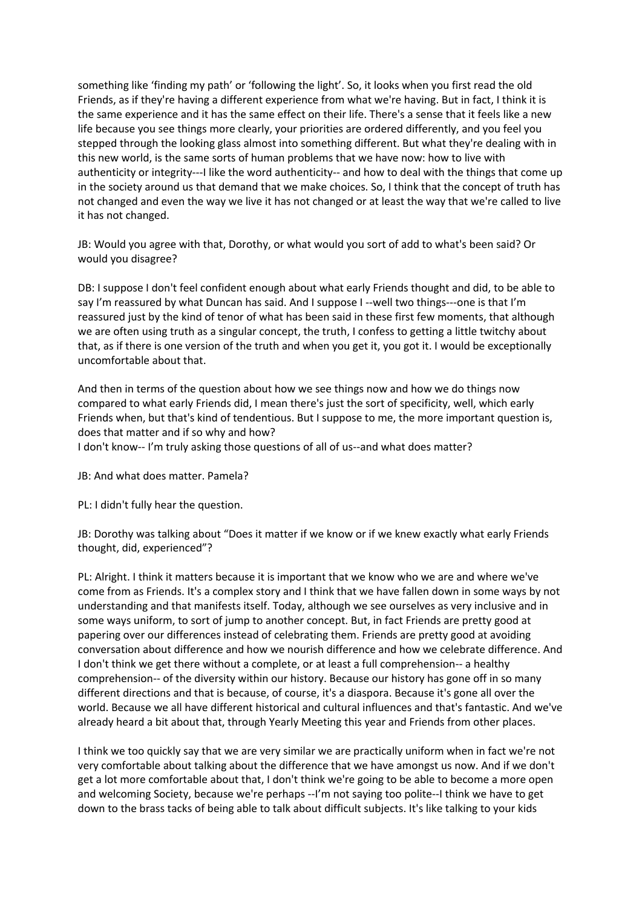something like 'finding my path' or 'following the light'. So, it looks when you first read the old Friends, as if they're having a different experience from what we're having. But in fact, I think it is the same experience and it has the same effect on their life. There's a sense that it feels like a new life because you see things more clearly, your priorities are ordered differently, and you feel you stepped through the looking glass almost into something different. But what they're dealing with in this new world, is the same sorts of human problems that we have now: how to live with authenticity or integrity---I like the word authenticity-- and how to deal with the things that come up in the society around us that demand that we make choices. So, I think that the concept of truth has not changed and even the way we live it has not changed or at least the way that we're called to live it has not changed.

JB: Would you agree with that, Dorothy, or what would you sort of add to what's been said? Or would you disagree?

DB: I suppose I don't feel confident enough about what early Friends thought and did, to be able to say I'm reassured by what Duncan has said. And I suppose I --well two things---one is that I'm reassured just by the kind of tenor of what has been said in these first few moments, that although we are often using truth as a singular concept, the truth, I confess to getting a little twitchy about that, as if there is one version of the truth and when you get it, you got it. I would be exceptionally uncomfortable about that.

And then in terms of the question about how we see things now and how we do things now compared to what early Friends did, I mean there's just the sort of specificity, well, which early Friends when, but that's kind of tendentious. But I suppose to me, the more important question is, does that matter and if so why and how?

I don't know-- I'm truly asking those questions of all of us--and what does matter?

JB: And what does matter. Pamela?

PL: I didn't fully hear the question.

JB: Dorothy was talking about "Does it matter if we know or if we knew exactly what early Friends thought, did, experienced"?

PL: Alright. I think it matters because it is important that we know who we are and where we've come from as Friends. It's a complex story and I think that we have fallen down in some ways by not understanding and that manifests itself. Today, although we see ourselves as very inclusive and in some ways uniform, to sort of jump to another concept. But, in fact Friends are pretty good at papering over our differences instead of celebrating them. Friends are pretty good at avoiding conversation about difference and how we nourish difference and how we celebrate difference. And I don't think we get there without a complete, or at least a full comprehension-- a healthy comprehension-- of the diversity within our history. Because our history has gone off in so many different directions and that is because, of course, it's a diaspora. Because it's gone all over the world. Because we all have different historical and cultural influences and that's fantastic. And we've already heard a bit about that, through Yearly Meeting this year and Friends from other places.

I think we too quickly say that we are very similar we are practically uniform when in fact we're not very comfortable about talking about the difference that we have amongst us now. And if we don't get a lot more comfortable about that, I don't think we're going to be able to become a more open and welcoming Society, because we're perhaps --I'm not saying too polite--I think we have to get down to the brass tacks of being able to talk about difficult subjects. It's like talking to your kids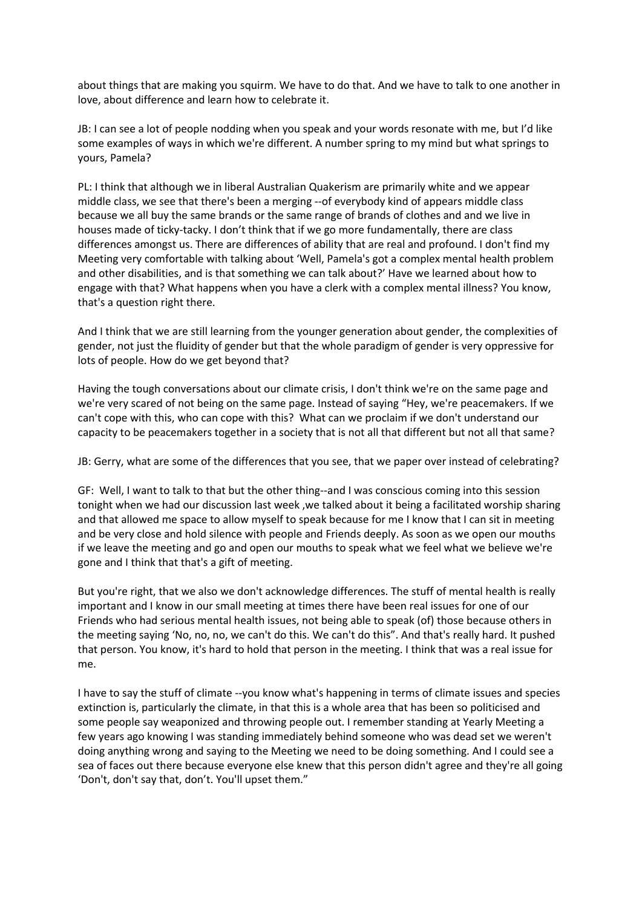about things that are making you squirm. We have to do that. And we have to talk to one another in love, about difference and learn how to celebrate it.

JB: I can see a lot of people nodding when you speak and your words resonate with me, but I'd like some examples of ways in which we're different. A number spring to my mind but what springs to yours, Pamela?

PL: I think that although we in liberal Australian Quakerism are primarily white and we appear middle class, we see that there's been a merging --of everybody kind of appears middle class because we all buy the same brands or the same range of brands of clothes and and we live in houses made of ticky-tacky. I don't think that if we go more fundamentally, there are class differences amongst us. There are differences of ability that are real and profound. I don't find my Meeting very comfortable with talking about 'Well, Pamela's got a complex mental health problem and other disabilities, and is that something we can talk about?' Have we learned about how to engage with that? What happens when you have a clerk with a complex mental illness? You know, that's a question right there.

And I think that we are still learning from the younger generation about gender, the complexities of gender, not just the fluidity of gender but that the whole paradigm of gender is very oppressive for lots of people. How do we get beyond that?

Having the tough conversations about our climate crisis, I don't think we're on the same page and we're very scared of not being on the same page. Instead of saying "Hey, we're peacemakers. If we can't cope with this, who can cope with this? What can we proclaim if we don't understand our capacity to be peacemakers together in a society that is not all that different but not all that same?

JB: Gerry, what are some of the differences that you see, that we paper over instead of celebrating?

GF: Well, I want to talk to that but the other thing--and I was conscious coming into this session tonight when we had our discussion last week ,we talked about it being a facilitated worship sharing and that allowed me space to allow myself to speak because for me I know that I can sit in meeting and be very close and hold silence with people and Friends deeply. As soon as we open our mouths if we leave the meeting and go and open our mouths to speak what we feel what we believe we're gone and I think that that's a gift of meeting.

But you're right, that we also we don't acknowledge differences. The stuff of mental health is really important and I know in our small meeting at times there have been real issues for one of our Friends who had serious mental health issues, not being able to speak (of) those because others in the meeting saying 'No, no, no, we can't do this. We can't do this". And that's really hard. It pushed that person. You know, it's hard to hold that person in the meeting. I think that was a real issue for me.

I have to say the stuff of climate --you know what's happening in terms of climate issues and species extinction is, particularly the climate, in that this is a whole area that has been so politicised and some people say weaponized and throwing people out. I remember standing at Yearly Meeting a few years ago knowing I was standing immediately behind someone who was dead set we weren't doing anything wrong and saying to the Meeting we need to be doing something. And I could see a sea of faces out there because everyone else knew that this person didn't agree and they're all going 'Don't, don't say that, don't. You'll upset them."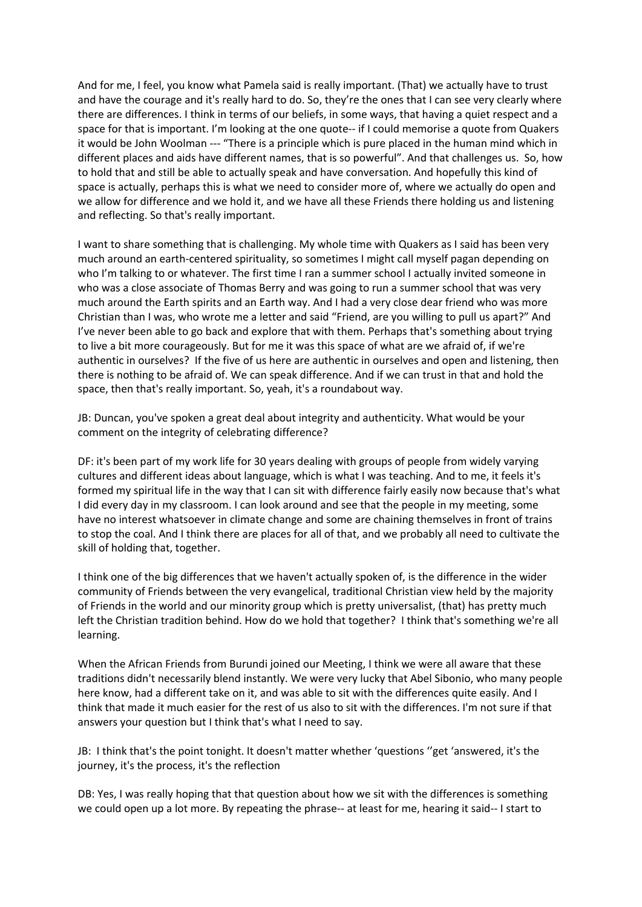And for me, I feel, you know what Pamela said is really important. (That) we actually have to trust and have the courage and it's really hard to do. So, they're the ones that I can see very clearly where there are differences. I think in terms of our beliefs, in some ways, that having a quiet respect and a space for that is important. I'm looking at the one quote-- if I could memorise a quote from Quakers it would be John Woolman --- "There is a principle which is pure placed in the human mind which in different places and aids have different names, that is so powerful". And that challenges us. So, how to hold that and still be able to actually speak and have conversation. And hopefully this kind of space is actually, perhaps this is what we need to consider more of, where we actually do open and we allow for difference and we hold it, and we have all these Friends there holding us and listening and reflecting. So that's really important.

I want to share something that is challenging. My whole time with Quakers as I said has been very much around an earth-centered spirituality, so sometimes I might call myself pagan depending on who I'm talking to or whatever. The first time I ran a summer school I actually invited someone in who was a close associate of Thomas Berry and was going to run a summer school that was very much around the Earth spirits and an Earth way. And I had a very close dear friend who was more Christian than I was, who wrote me a letter and said "Friend, are you willing to pull us apart?" And I've never been able to go back and explore that with them. Perhaps that's something about trying to live a bit more courageously. But for me it was this space of what are we afraid of, if we're authentic in ourselves? If the five of us here are authentic in ourselves and open and listening, then there is nothing to be afraid of. We can speak difference. And if we can trust in that and hold the space, then that's really important. So, yeah, it's a roundabout way.

JB: Duncan, you've spoken a great deal about integrity and authenticity. What would be your comment on the integrity of celebrating difference?

DF: it's been part of my work life for 30 years dealing with groups of people from widely varying cultures and different ideas about language, which is what I was teaching. And to me, it feels it's formed my spiritual life in the way that I can sit with difference fairly easily now because that's what I did every day in my classroom. I can look around and see that the people in my meeting, some have no interest whatsoever in climate change and some are chaining themselves in front of trains to stop the coal. And I think there are places for all of that, and we probably all need to cultivate the skill of holding that, together.

I think one of the big differences that we haven't actually spoken of, is the difference in the wider community of Friends between the very evangelical, traditional Christian view held by the majority of Friends in the world and our minority group which is pretty universalist, (that) has pretty much left the Christian tradition behind. How do we hold that together? I think that's something we're all learning.

When the African Friends from Burundi joined our Meeting, I think we were all aware that these traditions didn't necessarily blend instantly. We were very lucky that Abel Sibonio, who many people here know, had a different take on it, and was able to sit with the differences quite easily. And I think that made it much easier for the rest of us also to sit with the differences. I'm not sure if that answers your question but I think that's what I need to say.

JB: I think that's the point tonight. It doesn't matter whether 'questions ''get 'answered, it's the journey, it's the process, it's the reflection

DB: Yes, I was really hoping that that question about how we sit with the differences is something we could open up a lot more. By repeating the phrase-- at least for me, hearing it said-- I start to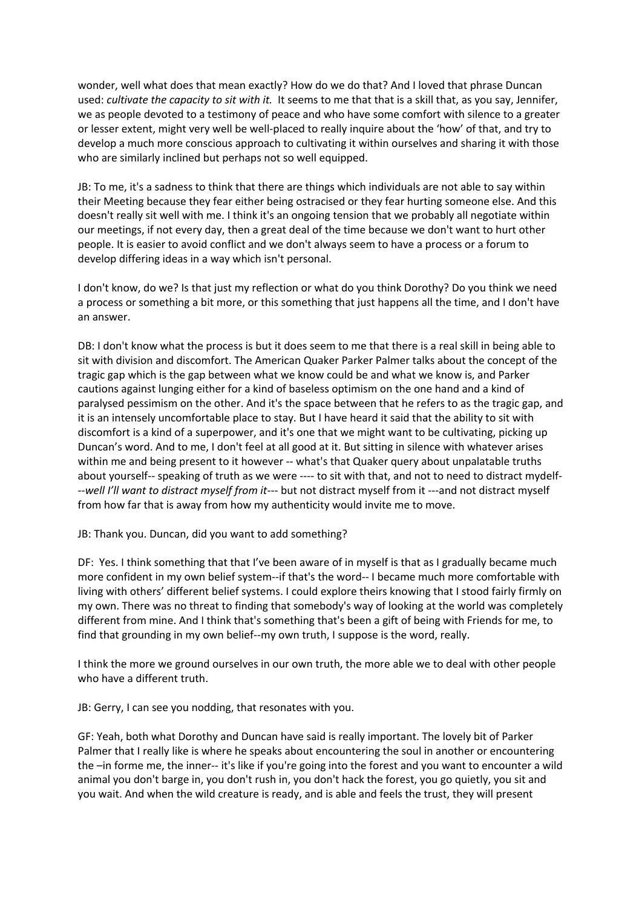wonder, well what does that mean exactly? How do we do that? And I loved that phrase Duncan used: *cultivate the capacity to sit with it.* It seems to me that that is a skill that, as you say, Jennifer, we as people devoted to a testimony of peace and who have some comfort with silence to a greater or lesser extent, might very well be well-placed to really inquire about the 'how' of that, and try to develop a much more conscious approach to cultivating it within ourselves and sharing it with those who are similarly inclined but perhaps not so well equipped.

JB: To me, it's a sadness to think that there are things which individuals are not able to say within their Meeting because they fear either being ostracised or they fear hurting someone else. And this doesn't really sit well with me. I think it's an ongoing tension that we probably all negotiate within our meetings, if not every day, then a great deal of the time because we don't want to hurt other people. It is easier to avoid conflict and we don't always seem to have a process or a forum to develop differing ideas in a way which isn't personal.

I don't know, do we? Is that just my reflection or what do you think Dorothy? Do you think we need a process or something a bit more, or this something that just happens all the time, and I don't have an answer.

DB: I don't know what the process is but it does seem to me that there is a real skill in being able to sit with division and discomfort. The American Quaker Parker Palmer talks about the concept of the tragic gap which is the gap between what we know could be and what we know is, and Parker cautions against lunging either for a kind of baseless optimism on the one hand and a kind of paralysed pessimism on the other. And it's the space between that he refers to as the tragic gap, and it is an intensely uncomfortable place to stay. But I have heard it said that the ability to sit with discomfort is a kind of a superpower, and it's one that we might want to be cultivating, picking up Duncan's word. And to me, I don't feel at all good at it. But sitting in silence with whatever arises within me and being present to it however -- what's that Quaker query about unpalatable truths about yourself-- speaking of truth as we were ---- to sit with that, and not to need to distract mydelf- --*well I'll want to distract myself from it-*-- but not distract myself from it ---and not distract myself from how far that is away from how my authenticity would invite me to move.

JB: Thank you. Duncan, did you want to add something?

DF: Yes. I think something that that I've been aware of in myself is that as I gradually became much more confident in my own belief system--if that's the word-- I became much more comfortable with living with others' different belief systems. I could explore theirs knowing that I stood fairly firmly on my own. There was no threat to finding that somebody's way of looking at the world was completely different from mine. And I think that's something that's been a gift of being with Friends for me, to find that grounding in my own belief--my own truth, I suppose is the word, really.

I think the more we ground ourselves in our own truth, the more able we to deal with other people who have a different truth.

JB: Gerry, I can see you nodding, that resonates with you.

GF: Yeah, both what Dorothy and Duncan have said is really important. The lovely bit of Parker Palmer that I really like is where he speaks about encountering the soul in another or encountering the –in forme me, the inner-- it's like if you're going into the forest and you want to encounter a wild animal you don't barge in, you don't rush in, you don't hack the forest, you go quietly, you sit and you wait. And when the wild creature is ready, and is able and feels the trust, they will present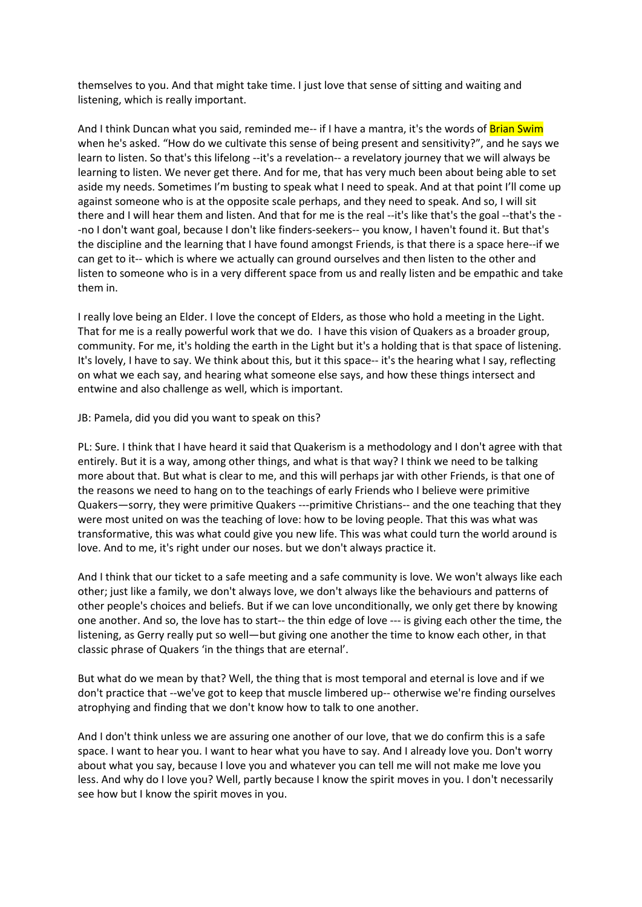themselves to you. And that might take time. I just love that sense of sitting and waiting and listening, which is really important.

And I think Duncan what you said, reminded me-- if I have a mantra, it's the words of Brian Swim when he's asked. "How do we cultivate this sense of being present and sensitivity?", and he says we learn to listen. So that's this lifelong --it's a revelation-- a revelatory journey that we will always be learning to listen. We never get there. And for me, that has very much been about being able to set aside my needs. Sometimes I'm busting to speak what I need to speak. And at that point I'll come up against someone who is at the opposite scale perhaps, and they need to speak. And so, I will sit there and I will hear them and listen. And that for me is the real --it's like that's the goal --that's the - -no I don't want goal, because I don't like finders-seekers-- you know, I haven't found it. But that's the discipline and the learning that I have found amongst Friends, is that there is a space here--if we can get to it-- which is where we actually can ground ourselves and then listen to the other and listen to someone who is in a very different space from us and really listen and be empathic and take them in.

I really love being an Elder. I love the concept of Elders, as those who hold a meeting in the Light. That for me is a really powerful work that we do. I have this vision of Quakers as a broader group, community. For me, it's holding the earth in the Light but it's a holding that is that space of listening. It's lovely, I have to say. We think about this, but it this space-- it's the hearing what I say, reflecting on what we each say, and hearing what someone else says, and how these things intersect and entwine and also challenge as well, which is important.

JB: Pamela, did you did you want to speak on this?

PL: Sure. I think that I have heard it said that Quakerism is a methodology and I don't agree with that entirely. But it is a way, among other things, and what is that way? I think we need to be talking more about that. But what is clear to me, and this will perhaps jar with other Friends, is that one of the reasons we need to hang on to the teachings of early Friends who I believe were primitive Quakers—sorry, they were primitive Quakers ---primitive Christians-- and the one teaching that they were most united on was the teaching of love: how to be loving people. That this was what was transformative, this was what could give you new life. This was what could turn the world around is love. And to me, it's right under our noses. but we don't always practice it.

And I think that our ticket to a safe meeting and a safe community is love. We won't always like each other; just like a family, we don't always love, we don't always like the behaviours and patterns of other people's choices and beliefs. But if we can love unconditionally, we only get there by knowing one another. And so, the love has to start-- the thin edge of love --- is giving each other the time, the listening, as Gerry really put so well—but giving one another the time to know each other, in that classic phrase of Quakers 'in the things that are eternal'.

But what do we mean by that? Well, the thing that is most temporal and eternal is love and if we don't practice that --we've got to keep that muscle limbered up-- otherwise we're finding ourselves atrophying and finding that we don't know how to talk to one another.

And I don't think unless we are assuring one another of our love, that we do confirm this is a safe space. I want to hear you. I want to hear what you have to say. And I already love you. Don't worry about what you say, because I love you and whatever you can tell me will not make me love you less. And why do I love you? Well, partly because I know the spirit moves in you. I don't necessarily see how but I know the spirit moves in you.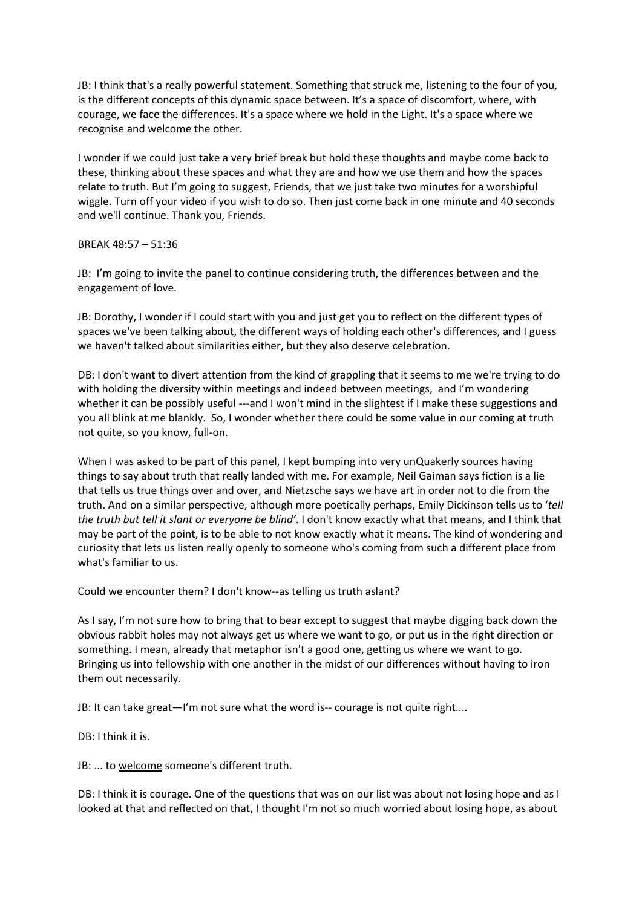JB: I think that's a really powerful statement. Something that struck me, listening to the four of you, is the different concepts of this dynamic space between. It's a space of discomfort, where, with courage, we face the differences. It's a space where we hold in the Light. It's a space where we recognise and welcome the other.

I wonder if we could just take a very brief break but hold these thoughts and maybe come back to these, thinking about these spaces and what they are and how we use them and how the spaces relate to truth. But I'm going to suggest, Friends, that we just take two minutes for a worshipful wiggle. Turn off your video if you wish to do so. Then just come back in one minute and 40 seconds and we'll continue. Thank you, Friends.

BREAK 48:57 – 51:36

JB: I'm going to invite the panel to continue considering truth, the differences between and the engagement of love.

JB: Dorothy, I wonder if I could start with you and just get you to reflect on the different types of spaces we've been talking about, the different ways of holding each other's differences, and I guess we haven't talked about similarities either, but they also deserve celebration.

DB: I don't want to divert attention from the kind of grappling that it seems to me we're trying to do with holding the diversity within meetings and indeed between meetings, and I'm wondering whether it can be possibly useful ---and I won't mind in the slightest if I make these suggestions and you all blink at me blankly. So, I wonder whether there could be some value in our coming at truth not quite, so you know, full-on.

When I was asked to be part of this panel, I kept bumping into very unQuakerly sources having things to say about truth that really landed with me. For example, Neil Gaiman says fiction is a lie that tells us true things over and over, and Nietzsche says we have art in order not to die from the truth. And on a similar perspective, although more poetically perhaps, Emily Dickinson tells us to '*tell the truth but tell it slant or everyone be blind'*. I don't know exactly what that means, and I think that may be part of the point, is to be able to not know exactly what it means. The kind of wondering and curiosity that lets us listen really openly to someone who's coming from such a different place from what's familiar to us.

Could we encounter them? I don't know--as telling us truth aslant?

As I say, I'm not sure how to bring that to bear except to suggest that maybe digging back down the obvious rabbit holes may not always get us where we want to go, or put us in the right direction or something. I mean, already that metaphor isn't a good one, getting us where we want to go. Bringing us into fellowship with one another in the midst of our differences without having to iron them out necessarily.

JB: It can take great—I'm not sure what the word is-- courage is not quite right....

DB: I think it is.

JB: ... to welcome someone's different truth.

DB: I think it is courage. One of the questions that was on our list was about not losing hope and as I looked at that and reflected on that, I thought I'm not so much worried about losing hope, as about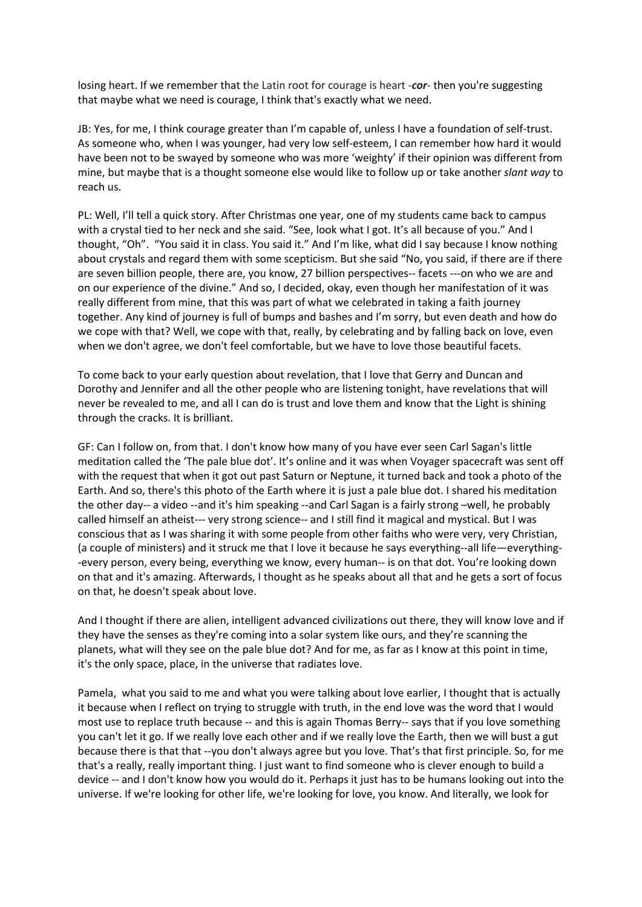losing heart. If we remember that the Latin root for courage is heart -*cor*- then you're suggesting that maybe what we need is courage, I think that's exactly what we need.

JB: Yes, for me, I think courage greater than I'm capable of, unless I have a foundation of self-trust. As someone who, when I was younger, had very low self-esteem, I can remember how hard it would have been not to be swayed by someone who was more 'weighty' if their opinion was different from mine, but maybe that is a thought someone else would like to follow up or take another *slant way* to reach us.

PL: Well, I'll tell a quick story. After Christmas one year, one of my students came back to campus with a crystal tied to her neck and she said. "See, look what I got. It's all because of you." And I thought, "Oh". "You said it in class. You said it." And I'm like, what did I say because I know nothing about crystals and regard them with some scepticism. But she said "No, you said, if there are if there are seven billion people, there are, you know, 27 billion perspectives-- facets ---on who we are and on our experience of the divine." And so, I decided, okay, even though her manifestation of it was really different from mine, that this was part of what we celebrated in taking a faith journey together. Any kind of journey is full of bumps and bashes and I'm sorry, but even death and how do we cope with that? Well, we cope with that, really, by celebrating and by falling back on love, even when we don't agree, we don't feel comfortable, but we have to love those beautiful facets.

To come back to your early question about revelation, that I love that Gerry and Duncan and Dorothy and Jennifer and all the other people who are listening tonight, have revelations that will never be revealed to me, and all I can do is trust and love them and know that the Light is shining through the cracks. It is brilliant.

GF: Can I follow on, from that. I don't know how many of you have ever seen Carl Sagan's little meditation called the 'The pale blue dot'. It's online and it was when Voyager spacecraft was sent off with the request that when it got out past Saturn or Neptune, it turned back and took a photo of the Earth. And so, there's this photo of the Earth where it is just a pale blue dot. I shared his meditation the other day-- a video --and it's him speaking --and Carl Sagan is a fairly strong –well, he probably called himself an atheist--- very strong science-- and I still find it magical and mystical. But I was conscious that as I was sharing it with some people from other faiths who were very, very Christian, (a couple of ministers) and it struck me that I love it because he says everything--all life—everything- -every person, every being, everything we know, every human-- is on that dot. You're looking down on that and it's amazing. Afterwards, I thought as he speaks about all that and he gets a sort of focus on that, he doesn't speak about love.

And I thought if there are alien, intelligent advanced civilizations out there, they will know love and if they have the senses as they're coming into a solar system like ours, and they're scanning the planets, what will they see on the pale blue dot? And for me, as far as I know at this point in time, it's the only space, place, in the universe that radiates love.

Pamela, what you said to me and what you were talking about love earlier, I thought that is actually it because when I reflect on trying to struggle with truth, in the end love was the word that I would most use to replace truth because -- and this is again Thomas Berry-- says that if you love something you can't let it go. If we really love each other and if we really love the Earth, then we will bust a gut because there is that that --you don't always agree but you love. That's that first principle. So, for me that's a really, really important thing. I just want to find someone who is clever enough to build a device -- and I don't know how you would do it. Perhaps it just has to be humans looking out into the universe. If we're looking for other life, we're looking for love, you know. And literally, we look for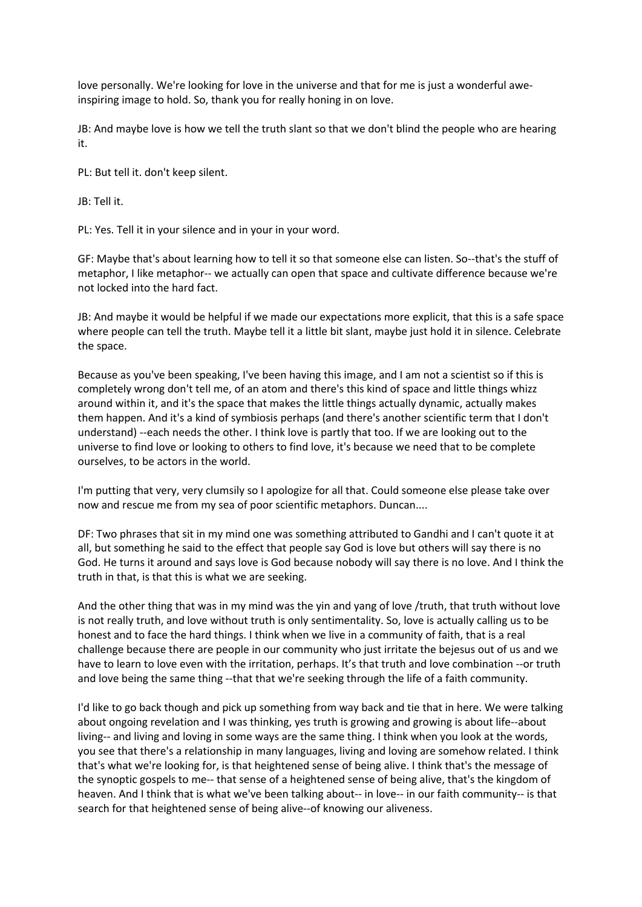love personally. We're looking for love in the universe and that for me is just a wonderful aweinspiring image to hold. So, thank you for really honing in on love.

JB: And maybe love is how we tell the truth slant so that we don't blind the people who are hearing it.

PL: But tell it. don't keep silent.

JB: Tell it.

PL: Yes. Tell it in your silence and in your in your word.

GF: Maybe that's about learning how to tell it so that someone else can listen. So--that's the stuff of metaphor, I like metaphor-- we actually can open that space and cultivate difference because we're not locked into the hard fact.

JB: And maybe it would be helpful if we made our expectations more explicit, that this is a safe space where people can tell the truth. Maybe tell it a little bit slant, maybe just hold it in silence. Celebrate the space.

Because as you've been speaking, I've been having this image, and I am not a scientist so if this is completely wrong don't tell me, of an atom and there's this kind of space and little things whizz around within it, and it's the space that makes the little things actually dynamic, actually makes them happen. And it's a kind of symbiosis perhaps (and there's another scientific term that I don't understand) --each needs the other. I think love is partly that too. If we are looking out to the universe to find love or looking to others to find love, it's because we need that to be complete ourselves, to be actors in the world.

I'm putting that very, very clumsily so I apologize for all that. Could someone else please take over now and rescue me from my sea of poor scientific metaphors. Duncan....

DF: Two phrases that sit in my mind one was something attributed to Gandhi and I can't quote it at all, but something he said to the effect that people say God is love but others will say there is no God. He turns it around and says love is God because nobody will say there is no love. And I think the truth in that, is that this is what we are seeking.

And the other thing that was in my mind was the yin and yang of love /truth, that truth without love is not really truth, and love without truth is only sentimentality. So, love is actually calling us to be honest and to face the hard things. I think when we live in a community of faith, that is a real challenge because there are people in our community who just irritate the bejesus out of us and we have to learn to love even with the irritation, perhaps. It's that truth and love combination --or truth and love being the same thing --that that we're seeking through the life of a faith community.

I'd like to go back though and pick up something from way back and tie that in here. We were talking about ongoing revelation and I was thinking, yes truth is growing and growing is about life--about living-- and living and loving in some ways are the same thing. I think when you look at the words, you see that there's a relationship in many languages, living and loving are somehow related. I think that's what we're looking for, is that heightened sense of being alive. I think that's the message of the synoptic gospels to me-- that sense of a heightened sense of being alive, that's the kingdom of heaven. And I think that is what we've been talking about-- in love-- in our faith community-- is that search for that heightened sense of being alive--of knowing our aliveness.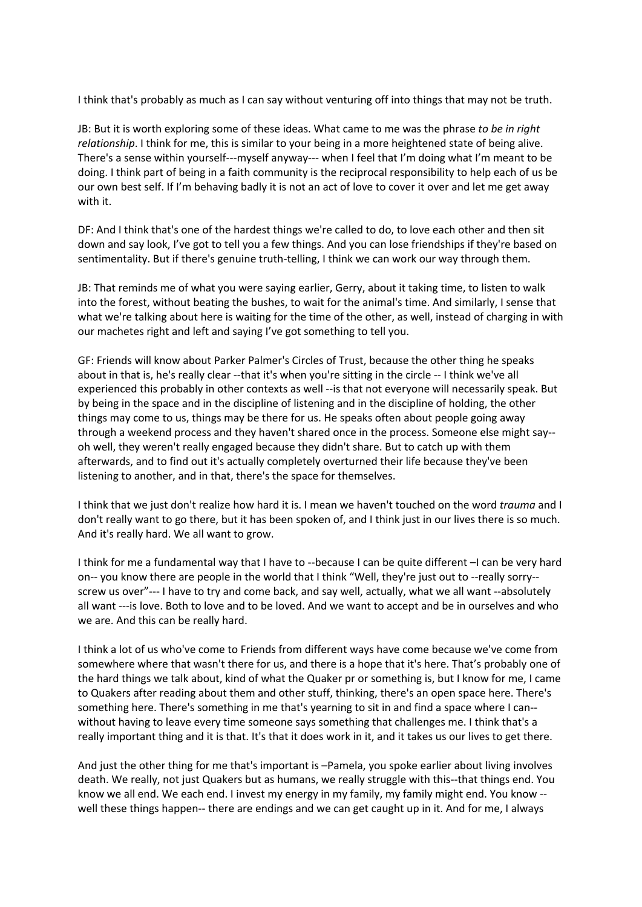I think that's probably as much as I can say without venturing off into things that may not be truth.

JB: But it is worth exploring some of these ideas. What came to me was the phrase *to be in right relationship*. I think for me, this is similar to your being in a more heightened state of being alive. There's a sense within yourself---myself anyway--- when I feel that I'm doing what I'm meant to be doing. I think part of being in a faith community is the reciprocal responsibility to help each of us be our own best self. If I'm behaving badly it is not an act of love to cover it over and let me get away with it.

DF: And I think that's one of the hardest things we're called to do, to love each other and then sit down and say look, I've got to tell you a few things. And you can lose friendships if they're based on sentimentality. But if there's genuine truth-telling, I think we can work our way through them.

JB: That reminds me of what you were saying earlier, Gerry, about it taking time, to listen to walk into the forest, without beating the bushes, to wait for the animal's time. And similarly, I sense that what we're talking about here is waiting for the time of the other, as well, instead of charging in with our machetes right and left and saying I've got something to tell you.

GF: Friends will know about Parker Palmer's Circles of Trust, because the other thing he speaks about in that is, he's really clear --that it's when you're sitting in the circle -- I think we've all experienced this probably in other contexts as well --is that not everyone will necessarily speak. But by being in the space and in the discipline of listening and in the discipline of holding, the other things may come to us, things may be there for us. He speaks often about people going away through a weekend process and they haven't shared once in the process. Someone else might say- oh well, they weren't really engaged because they didn't share. But to catch up with them afterwards, and to find out it's actually completely overturned their life because they've been listening to another, and in that, there's the space for themselves.

I think that we just don't realize how hard it is. I mean we haven't touched on the word *trauma* and I don't really want to go there, but it has been spoken of, and I think just in our lives there is so much. And it's really hard. We all want to grow.

I think for me a fundamental way that I have to --because I can be quite different –I can be very hard on-- you know there are people in the world that I think "Well, they're just out to --really sorry- screw us over"--- I have to try and come back, and say well, actually, what we all want --absolutely all want ---is love. Both to love and to be loved. And we want to accept and be in ourselves and who we are. And this can be really hard.

I think a lot of us who've come to Friends from different ways have come because we've come from somewhere where that wasn't there for us, and there is a hope that it's here. That's probably one of the hard things we talk about, kind of what the Quaker pr or something is, but I know for me, I came to Quakers after reading about them and other stuff, thinking, there's an open space here. There's something here. There's something in me that's yearning to sit in and find a space where I can- without having to leave every time someone says something that challenges me. I think that's a really important thing and it is that. It's that it does work in it, and it takes us our lives to get there.

And just the other thing for me that's important is –Pamela, you spoke earlier about living involves death. We really, not just Quakers but as humans, we really struggle with this--that things end. You know we all end. We each end. I invest my energy in my family, my family might end. You know - well these things happen-- there are endings and we can get caught up in it. And for me, I always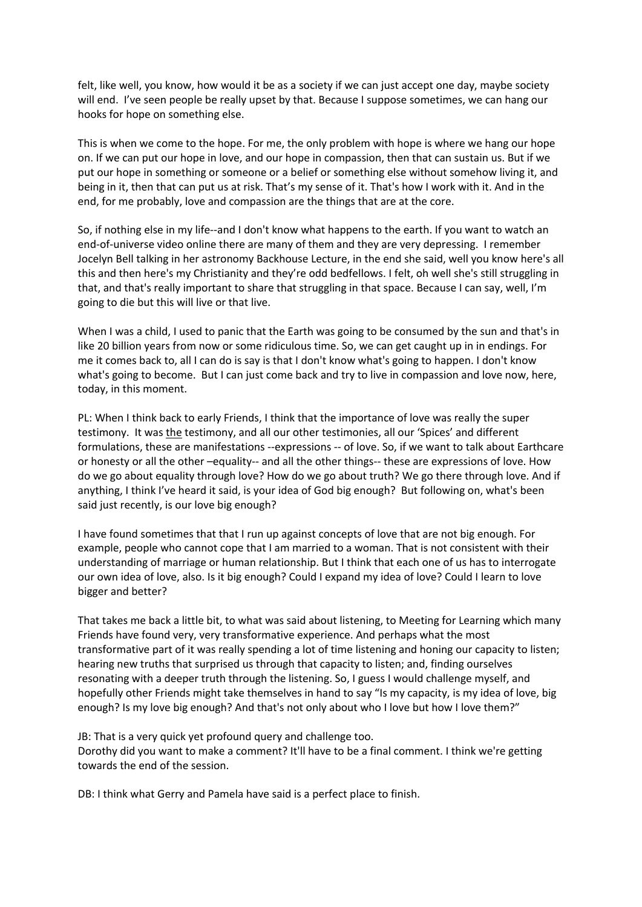felt, like well, you know, how would it be as a society if we can just accept one day, maybe society will end. I've seen people be really upset by that. Because I suppose sometimes, we can hang our hooks for hope on something else.

This is when we come to the hope. For me, the only problem with hope is where we hang our hope on. If we can put our hope in love, and our hope in compassion, then that can sustain us. But if we put our hope in something or someone or a belief or something else without somehow living it, and being in it, then that can put us at risk. That's my sense of it. That's how I work with it. And in the end, for me probably, love and compassion are the things that are at the core.

So, if nothing else in my life--and I don't know what happens to the earth. If you want to watch an end-of-universe video online there are many of them and they are very depressing. I remember Jocelyn Bell talking in her astronomy Backhouse Lecture, in the end she said, well you know here's all this and then here's my Christianity and they're odd bedfellows. I felt, oh well she's still struggling in that, and that's really important to share that struggling in that space. Because I can say, well, I'm going to die but this will live or that live.

When I was a child, I used to panic that the Earth was going to be consumed by the sun and that's in like 20 billion years from now or some ridiculous time. So, we can get caught up in in endings. For me it comes back to, all I can do is say is that I don't know what's going to happen. I don't know what's going to become. But I can just come back and try to live in compassion and love now, here, today, in this moment.

PL: When I think back to early Friends, I think that the importance of love was really the super testimony. It was the testimony, and all our other testimonies, all our 'Spices' and different formulations, these are manifestations --expressions -- of love. So, if we want to talk about Earthcare or honesty or all the other –equality-- and all the other things-- these are expressions of love. How do we go about equality through love? How do we go about truth? We go there through love. And if anything, I think I've heard it said, is your idea of God big enough? But following on, what's been said just recently, is our love big enough?

I have found sometimes that that I run up against concepts of love that are not big enough. For example, people who cannot cope that I am married to a woman. That is not consistent with their understanding of marriage or human relationship. But I think that each one of us has to interrogate our own idea of love, also. Is it big enough? Could I expand my idea of love? Could I learn to love bigger and better?

That takes me back a little bit, to what was said about listening, to Meeting for Learning which many Friends have found very, very transformative experience. And perhaps what the most transformative part of it was really spending a lot of time listening and honing our capacity to listen; hearing new truths that surprised us through that capacity to listen; and, finding ourselves resonating with a deeper truth through the listening. So, I guess I would challenge myself, and hopefully other Friends might take themselves in hand to say "Is my capacity, is my idea of love, big enough? Is my love big enough? And that's not only about who I love but how I love them?"

JB: That is a very quick yet profound query and challenge too. Dorothy did you want to make a comment? It'll have to be a final comment. I think we're getting towards the end of the session.

DB: I think what Gerry and Pamela have said is a perfect place to finish.